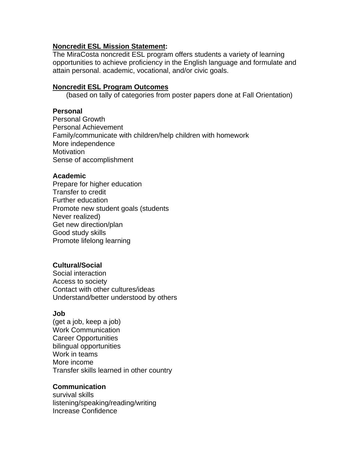#### **Noncredit ESL Mission Statement:**

The MiraCosta noncredit ESL program offers students a variety of learning opportunities to achieve proficiency in the English language and formulate and attain personal. academic, vocational, and/or civic goals.

#### **Noncredit ESL Program Outcomes**

(based on tally of categories from poster papers done at Fall Orientation)

#### **Personal**

Personal Growth Personal Achievement Family/communicate with children/help children with homework More independence **Motivation** Sense of accomplishment

#### **Academic**

Prepare for higher education Transfer to credit Further education Promote new student goals (students Never realized) Get new direction/plan Good study skills Promote lifelong learning

## **Cultural/Social**

Social interaction Access to society Contact with other cultures/ideas Understand/better understood by others

#### **Job**

(get a job, keep a job) Work Communication Career Opportunities bilingual opportunities Work in teams More income Transfer skills learned in other country

## **Communication**

survival skills listening/speaking/reading/writing Increase Confidence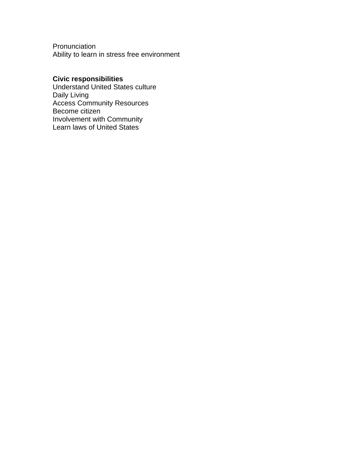Pronunciation Ability to learn in stress free environment

# **Civic responsibilities**

Understand United States culture Daily Living Access Community Resources Become citizen Involvement with Community Learn laws of United States